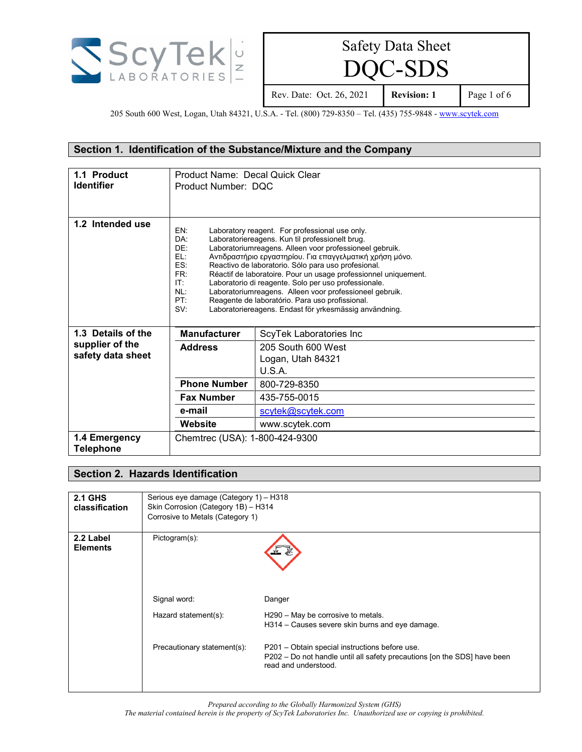

 $C$ -SDS

Rev. Date: Oct. 26, 2021 **Revision: 1** Page 1 of 6

205 South 600 West, Logan, Utah 84321, U.S.A. - Tel. (800) 729-8350 - Tel. (435) 755-9848 - [www.scytek.com](http://www.scytek.com/)

### **Section 1. Identification of the Substance/Mixture and the Company**

| 1.1 Product<br><b>Identifier</b>     | Product Name: Decal Quick Clear<br>Product Number: DOC              |                                                                                                                                                                                                                                                                                                                                                                                                                                                                                                                                                                                    |
|--------------------------------------|---------------------------------------------------------------------|------------------------------------------------------------------------------------------------------------------------------------------------------------------------------------------------------------------------------------------------------------------------------------------------------------------------------------------------------------------------------------------------------------------------------------------------------------------------------------------------------------------------------------------------------------------------------------|
| 1.2 Intended use                     | EN:<br>DA:<br>DF.<br>EL:<br>ES:<br>FR:<br>IT:<br>NL:<br>PT:<br>SV:  | Laboratory reagent. For professional use only.<br>Laboratoriereagens. Kun til professionelt brug.<br>Laboratoriumreagens. Alleen voor professioneel gebruik.<br>Αντιδραστήριο εργαστηρίου. Για επαγγελματική χρήση μόνο.<br>Reactivo de laboratorio. Sólo para uso profesional.<br>Réactif de laboratoire. Pour un usage professionnel uniquement.<br>Laboratorio di reagente. Solo per uso professionale.<br>Laboratoriumreagens. Alleen voor professioneel gebruik.<br>Reagente de laboratório. Para uso profissional.<br>Laboratoriereagens. Endast för yrkesmässig användning. |
| 1.3 Details of the                   | <b>Manufacturer</b>                                                 | ScyTek Laboratories Inc                                                                                                                                                                                                                                                                                                                                                                                                                                                                                                                                                            |
| supplier of the<br>safety data sheet | <b>Address</b><br>205 South 600 West<br>Logan, Utah 84321<br>U.S.A. |                                                                                                                                                                                                                                                                                                                                                                                                                                                                                                                                                                                    |
|                                      | <b>Phone Number</b>                                                 | 800-729-8350                                                                                                                                                                                                                                                                                                                                                                                                                                                                                                                                                                       |
|                                      | <b>Fax Number</b>                                                   | 435-755-0015                                                                                                                                                                                                                                                                                                                                                                                                                                                                                                                                                                       |
|                                      | e-mail                                                              | scytek@scytek.com                                                                                                                                                                                                                                                                                                                                                                                                                                                                                                                                                                  |
|                                      | Website                                                             | www.scytek.com                                                                                                                                                                                                                                                                                                                                                                                                                                                                                                                                                                     |
| 1.4 Emergency<br><b>Telephone</b>    | Chemtrec (USA): 1-800-424-9300                                      |                                                                                                                                                                                                                                                                                                                                                                                                                                                                                                                                                                                    |

### **Section 2. Hazards Identification**

| <b>2.1 GHS</b><br>classification | Serious eye damage (Category 1) - H318<br>Skin Corrosion (Category 1B) - H314<br>Corrosive to Metals (Category 1) |                                                                                                                                                    |
|----------------------------------|-------------------------------------------------------------------------------------------------------------------|----------------------------------------------------------------------------------------------------------------------------------------------------|
| 2.2 Label<br><b>Elements</b>     | Pictogram(s):<br>Signal word:                                                                                     | Danger                                                                                                                                             |
|                                  | Hazard statement(s):                                                                                              | H290 - May be corrosive to metals.<br>H314 – Causes severe skin burns and eye damage.                                                              |
|                                  | Precautionary statement(s):                                                                                       | P201 – Obtain special instructions before use.<br>P202 – Do not handle until all safety precautions [on the SDS] have been<br>read and understood. |

*Prepared according to the Globally Harmonized System (GHS)*

*The material contained herein is the property of ScyTek Laboratories Inc. Unauthorized use or copying is prohibited.*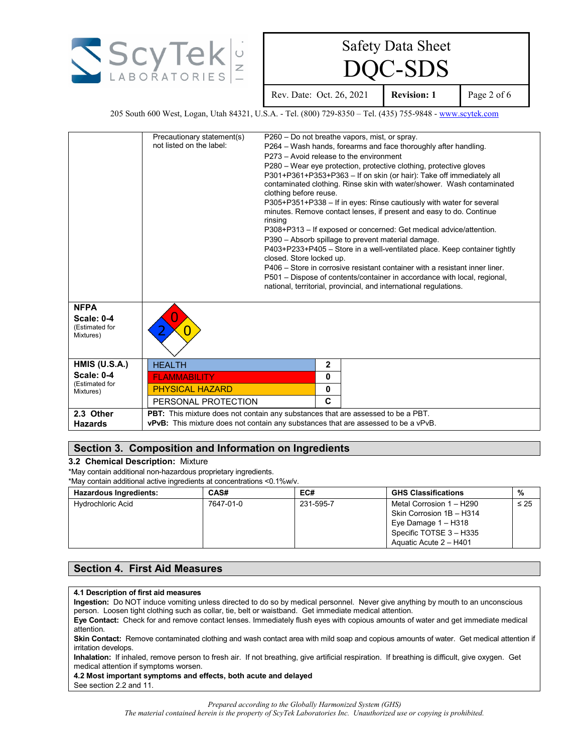

 $C$ -SDS

Rev. Date: Oct. 26, 2021 **Revision: 1** Page 2 of 6

205 South 600 West, Logan, Utah 84321, U.S.A. - Tel. (800) 729-8350 - Tel. (435) 755-9848 - [www.scytek.com](http://www.scytek.com/)

|                                           | Precautionary statement(s)                                                                |                          |             | P260 - Do not breathe vapors, mist, or spray.                                                                                                  |
|-------------------------------------------|-------------------------------------------------------------------------------------------|--------------------------|-------------|------------------------------------------------------------------------------------------------------------------------------------------------|
|                                           | not listed on the label:                                                                  |                          |             | P264 – Wash hands, forearms and face thoroughly after handling.                                                                                |
|                                           |                                                                                           |                          |             | P273 – Avoid release to the environment                                                                                                        |
|                                           |                                                                                           |                          |             | P280 – Wear eye protection, protective clothing, protective gloves                                                                             |
|                                           |                                                                                           | clothing before reuse.   |             | P301+P361+P353+P363 - If on skin (or hair): Take off immediately all<br>contaminated clothing. Rinse skin with water/shower. Wash contaminated |
|                                           |                                                                                           | rinsing                  |             | P305+P351+P338 - If in eyes: Rinse cautiously with water for several<br>minutes. Remove contact lenses, if present and easy to do. Continue    |
|                                           |                                                                                           |                          |             | P308+P313 - If exposed or concerned: Get medical advice/attention.<br>P390 - Absorb spillage to prevent material damage.                       |
|                                           |                                                                                           | closed. Store locked up. |             | P403+P233+P405 - Store in a well-ventilated place. Keep container tightly                                                                      |
|                                           |                                                                                           |                          |             | P406 – Store in corrosive resistant container with a resistant inner liner.                                                                    |
|                                           |                                                                                           |                          |             | P501 – Dispose of contents/container in accordance with local, regional,<br>national, territorial, provincial, and international regulations.  |
| <b>NFPA</b>                               |                                                                                           |                          |             |                                                                                                                                                |
| Scale: 0-4<br>(Estimated for<br>Mixtures) |                                                                                           |                          |             |                                                                                                                                                |
| <b>HMIS (U.S.A.)</b>                      | <b>HEALTH</b>                                                                             |                          | $\mathbf 2$ |                                                                                                                                                |
| <b>Scale: 0-4</b>                         | <b>FLAMMABILITY</b>                                                                       |                          | 0           |                                                                                                                                                |
| (Estimated for<br>Mixtures)               | <b>PHYSICAL HAZARD</b>                                                                    |                          | 0           |                                                                                                                                                |
|                                           | PERSONAL PROTECTION                                                                       |                          | C           |                                                                                                                                                |
| 2.3 Other                                 | PBT: This mixture does not contain any substances that are assessed to be a PBT.          |                          |             |                                                                                                                                                |
| <b>Hazards</b>                            | <b>vPvB:</b> This mixture does not contain any substances that are assessed to be a vPvB. |                          |             |                                                                                                                                                |

### **Section 3. Composition and Information on Ingredients**

#### **3.2 Chemical Description:** Mixture

\*May contain additional non-hazardous proprietary ingredients.

\*May contain additional active ingredients at concentrations <0.1%w/v.

| <b>Hazardous Ingredients:</b> | CAS#      | EC#       | <b>GHS Classifications</b>                                                                               | %         |
|-------------------------------|-----------|-----------|----------------------------------------------------------------------------------------------------------|-----------|
| Hydrochloric Acid             | 7647-01-0 | 231-595-7 | Metal Corrosion 1 - H290<br>Skin Corrosion 1B - H314<br>Eye Damage $1 - H318$<br>Specific TOTSE 3 - H335 | $\leq 25$ |
|                               |           |           | Aquatic Acute 2 - H401                                                                                   |           |

#### **Section 4. First Aid Measures**

#### **4.1 Description of first aid measures**

**Ingestion:** Do NOT induce vomiting unless directed to do so by medical personnel. Never give anything by mouth to an unconscious person. Loosen tight clothing such as collar, tie, belt or waistband. Get immediate medical attention.

**Eye Contact:** Check for and remove contact lenses. Immediately flush eyes with copious amounts of water and get immediate medical attention.

**Skin Contact:** Remove contaminated clothing and wash contact area with mild soap and copious amounts of water. Get medical attention if irritation develops.

**Inhalation:** If inhaled, remove person to fresh air. If not breathing, give artificial respiration. If breathing is difficult, give oxygen. Get medical attention if symptoms worsen.

**4.2 Most important symptoms and effects, both acute and delayed**

See section 2.2 and 11.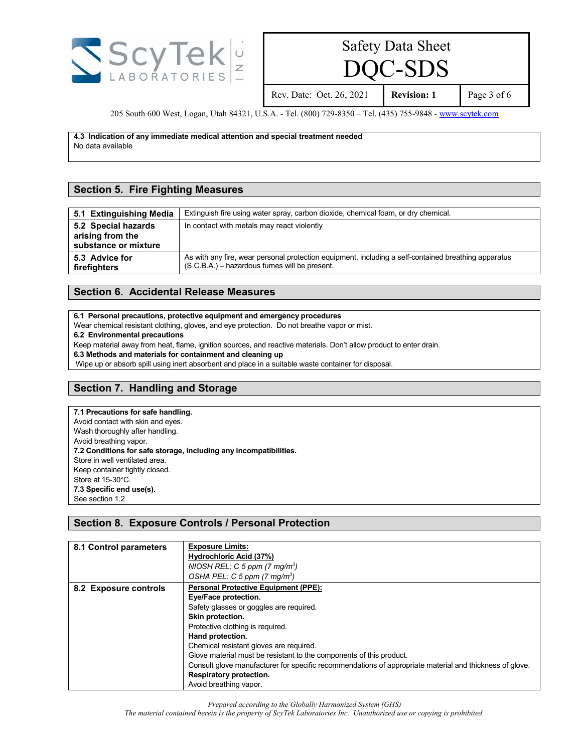

 $C$ -SDS

Rev. Date: Oct. 26, 2021 **Revision: 1** Page 3 of 6

205 South 600 West, Logan, Utah 84321, U.S.A. - Tel. (800) 729-8350 - Tel. (435) 755-9848 - [www.scytek.com](http://www.scytek.com/)

**4.3 Indication of any immediate medical attention and special treatment needed** No data available

#### **Section 5. Fire Fighting Measures**

| 5.1 Extinguishing Media                                         | Extinguish fire using water spray, carbon dioxide, chemical foam, or dry chemical.                                                                      |
|-----------------------------------------------------------------|---------------------------------------------------------------------------------------------------------------------------------------------------------|
| 5.2 Special hazards<br>arising from the<br>substance or mixture | In contact with metals may react violently                                                                                                              |
| 5.3 Advice for<br>firefighters                                  | As with any fire, wear personal protection equipment, including a self-contained breathing apparatus<br>$(S.C.B.A.)$ – hazardous fumes will be present. |

#### **Section 6. Accidental Release Measures**

**6.1 Personal precautions, protective equipment and emergency procedures**

Wear chemical resistant clothing, gloves, and eye protection. Do not breathe vapor or mist.

**6.2 Environmental precautions**

Keep material away from heat, flame, ignition sources, and reactive materials. Don't allow product to enter drain.

**6.3 Methods and materials for containment and cleaning up**

Wipe up or absorb spill using inert absorbent and place in a suitable waste container for disposal.

### **Section 7. Handling and Storage**

## **7.1 Precautions for safe handling.**

Avoid contact with skin and eyes. Wash thoroughly after handling. Avoid breathing vapor. **7.2 Conditions for safe storage, including any incompatibilities.** Store in well ventilated area. Keep container tightly closed. Store at 15-30°C. **7.3 Specific end use(s).** See section 1.2

### **Section 8. Exposure Controls / Personal Protection**

| 8.1 Control parameters | <b>Exposure Limits:</b>                                                                                 |
|------------------------|---------------------------------------------------------------------------------------------------------|
|                        | Hydrochloric Acid (37%)                                                                                 |
|                        | NIOSH REL: C 5 ppm $(7 \text{ mg/m}^3)$                                                                 |
|                        | OSHA PEL: C 5 ppm $(7 \text{ mg/m}^3)$                                                                  |
| 8.2 Exposure controls  | <b>Personal Protective Equipment (PPE):</b>                                                             |
|                        | Eye/Face protection.                                                                                    |
|                        | Safety glasses or goggles are required.                                                                 |
|                        | Skin protection.                                                                                        |
|                        | Protective clothing is required.                                                                        |
|                        | Hand protection.                                                                                        |
|                        | Chemical resistant gloves are required.                                                                 |
|                        | Glove material must be resistant to the components of this product.                                     |
|                        | Consult glove manufacturer for specific recommendations of appropriate material and thickness of glove. |
|                        | Respiratory protection.                                                                                 |
|                        | Avoid breathing vapor.                                                                                  |

*Prepared according to the Globally Harmonized System (GHS) The material contained herein is the property of ScyTek Laboratories Inc. Unauthorized use or copying is prohibited.*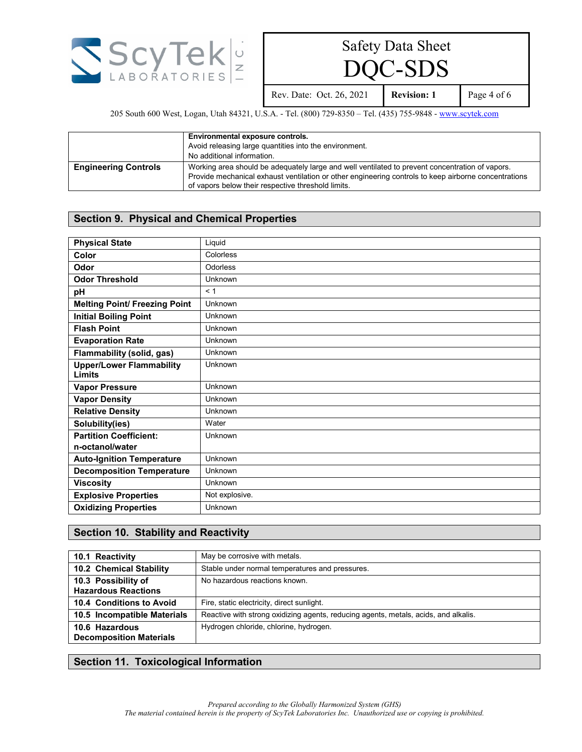

 $C$ -SDS

Rev. Date: Oct. 26, 2021 **Revision: 1** Page 4 of 6

205 South 600 West, Logan, Utah 84321, U.S.A. - Tel. (800) 729-8350 – Tel. (435) 755-9848 - [www.scytek.com](http://www.scytek.com/)

|                             | Environmental exposure controls.<br>Avoid releasing large quantities into the environment.<br>No additional information.                                                                                                                                      |
|-----------------------------|---------------------------------------------------------------------------------------------------------------------------------------------------------------------------------------------------------------------------------------------------------------|
| <b>Engineering Controls</b> | Working area should be adequately large and well ventilated to prevent concentration of vapors.<br>Provide mechanical exhaust ventilation or other engineering controls to keep airborne concentrations<br>of vapors below their respective threshold limits. |

### **Section 9. Physical and Chemical Properties**

| <b>Physical State</b>                            | Liquid         |
|--------------------------------------------------|----------------|
| Color                                            | Colorless      |
| Odor                                             | Odorless       |
| <b>Odor Threshold</b>                            | Unknown        |
| pH                                               | < 1            |
| <b>Melting Point/ Freezing Point</b>             | Unknown        |
| <b>Initial Boiling Point</b>                     | Unknown        |
| <b>Flash Point</b>                               | Unknown        |
| <b>Evaporation Rate</b>                          | Unknown        |
| Flammability (solid, gas)                        | Unknown        |
| <b>Upper/Lower Flammability</b><br><b>Limits</b> | Unknown        |
| <b>Vapor Pressure</b>                            | Unknown        |
| <b>Vapor Density</b>                             | Unknown        |
| <b>Relative Density</b>                          | Unknown        |
| Solubility(ies)                                  | Water          |
| <b>Partition Coefficient:</b>                    | <b>Unknown</b> |
| n-octanol/water                                  |                |
| <b>Auto-Ignition Temperature</b>                 | Unknown        |
| <b>Decomposition Temperature</b>                 | Unknown        |
| <b>Viscosity</b>                                 | Unknown        |
| <b>Explosive Properties</b>                      | Not explosive. |
| <b>Oxidizing Properties</b>                      | Unknown        |

### **Section 10. Stability and Reactivity**

| 10.1 Reactivity                                   | May be corrosive with metals.                                                       |
|---------------------------------------------------|-------------------------------------------------------------------------------------|
| 10.2 Chemical Stability                           | Stable under normal temperatures and pressures.                                     |
| 10.3 Possibility of<br><b>Hazardous Reactions</b> | No hazardous reactions known.                                                       |
| 10.4 Conditions to Avoid                          | Fire, static electricity, direct sunlight.                                          |
| 10.5 Incompatible Materials                       | Reactive with strong oxidizing agents, reducing agents, metals, acids, and alkalis. |
| 10.6 Hazardous<br><b>Decomposition Materials</b>  | Hydrogen chloride, chlorine, hydrogen.                                              |

## **Section 11. Toxicological Information**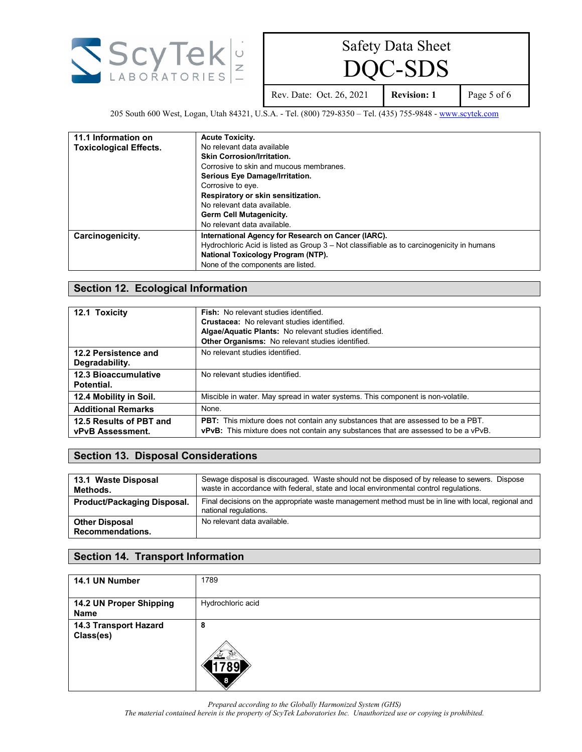

 $C$ -SDS

Rev. Date: Oct. 26, 2021 **Revision: 1** Page 5 of 6

205 South 600 West, Logan, Utah 84321, U.S.A. - Tel. (800) 729-8350 – Tel. (435) 755-9848 - [www.scytek.com](http://www.scytek.com/)

| 11.1 Information on           | <b>Acute Toxicity.</b>                                                                    |
|-------------------------------|-------------------------------------------------------------------------------------------|
| <b>Toxicological Effects.</b> | No relevant data available                                                                |
|                               | <b>Skin Corrosion/Irritation.</b>                                                         |
|                               | Corrosive to skin and mucous membranes.                                                   |
|                               | Serious Eye Damage/Irritation.                                                            |
|                               | Corrosive to eye.                                                                         |
|                               | Respiratory or skin sensitization.                                                        |
|                               | No relevant data available.                                                               |
|                               | <b>Germ Cell Mutagenicity.</b>                                                            |
|                               | No relevant data available.                                                               |
| Carcinogenicity.              | International Agency for Research on Cancer (IARC).                                       |
|                               | Hydrochloric Acid is listed as Group 3 – Not classifiable as to carcinogenicity in humans |
|                               | National Toxicology Program (NTP).                                                        |
|                               | None of the components are listed.                                                        |

#### **Section 12. Ecological Information**

| 12.1 Toxicity               | <b>Fish:</b> No relevant studies identified.                                              |
|-----------------------------|-------------------------------------------------------------------------------------------|
|                             | <b>Crustacea:</b> No relevant studies identified.                                         |
|                             | Algae/Aquatic Plants: No relevant studies identified.                                     |
|                             | Other Organisms: No relevant studies identified.                                          |
| 12.2 Persistence and        | No relevant studies identified.                                                           |
| Degradability.              |                                                                                           |
| <b>12.3 Bioaccumulative</b> | No relevant studies identified.                                                           |
| Potential.                  |                                                                                           |
| 12.4 Mobility in Soil.      | Miscible in water. May spread in water systems. This component is non-volatile.           |
| <b>Additional Remarks</b>   | None.                                                                                     |
| 12.5 Results of PBT and     | PBT: This mixture does not contain any substances that are assessed to be a PBT.          |
| <b>vPvB Assessment.</b>     | <b>vPvB:</b> This mixture does not contain any substances that are assessed to be a vPvB. |

### **Section 13. Disposal Considerations**

| 13.1 Waste Disposal<br>Methods.           | Sewage disposal is discouraged. Waste should not be disposed of by release to sewers. Dispose<br>waste in accordance with federal, state and local environmental control regulations. |
|-------------------------------------------|---------------------------------------------------------------------------------------------------------------------------------------------------------------------------------------|
| <b>Product/Packaging Disposal.</b>        | Final decisions on the appropriate waste management method must be in line with local, regional and<br>national regulations.                                                          |
| <b>Other Disposal</b><br>Recommendations. | No relevant data available.                                                                                                                                                           |

### **Section 14. Transport Information**

| 14.1 UN Number                     | 1789              |
|------------------------------------|-------------------|
| 14.2 UN Proper Shipping<br>Name    | Hydrochloric acid |
| 14.3 Transport Hazard<br>Class(es) | 8                 |

*Prepared according to the Globally Harmonized System (GHS)*

*The material contained herein is the property of ScyTek Laboratories Inc. Unauthorized use or copying is prohibited.*